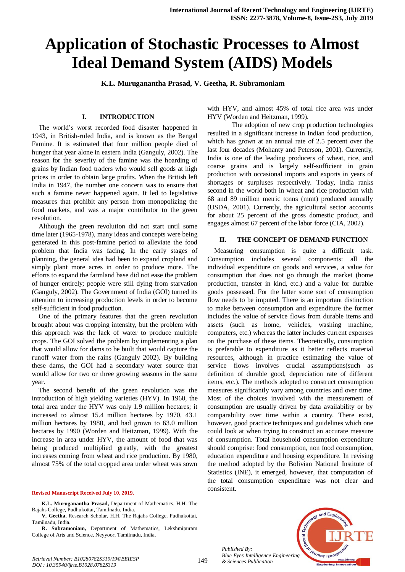# **Application of Stochastic Processes to Almost Ideal Demand System (AIDS) Models**

**K.L. Muruganantha Prasad, V. Geetha, R. Subramoniam** 

# **I. INTRODUCTION**

The world's worst recorded food disaster happened in 1943, in British-ruled India, and is known as the Bengal Famine. It is estimated that four million people died of hunger that year alone in eastern India (Ganguly, 2002). The reason for the severity of the famine was the hoarding of grains by Indian food traders who would sell goods at high prices in order to obtain large profits. When the British left India in 1947, the number one concern was to ensure that such a famine never happened again. It led to legislative measures that prohibit any person from monopolizing the food markets, and was a major contributor to the green revolution.

Although the green revolution did not start until some time later (1965-1978), many ideas and concepts were being generated in this post-famine period to alleviate the food problem that India was facing. In the early stages of planning, the general idea had been to expand cropland and simply plant more acres in order to produce more. The efforts to expand the farmland base did not ease the problem of hunger entirely; people were still dying from starvation (Ganguly, 2002). The Government of India (GOI) turned its attention to increasing production levels in order to become self-sufficient in food production.

One of the primary features that the green revolution brought about was cropping intensity, but the problem with this approach was the lack of water to produce multiple crops. The GOI solved the problem by implementing a plan that would allow for dams to be built that would capture the runoff water from the rains (Ganguly 2002). By building these dams, the GOI had a secondary water source that would allow for two or three growing seasons in the same year.

The second benefit of the green revolution was the introduction of high yielding varieties (HYV). In 1960, the total area under the HYV was only 1.9 million hectares; it increased to almost 15.4 million hectares by 1970, 43.1 million hectares by 1980, and had grown to 63.0 million hectares by 1990 (Worden and Heitzman, 1999). With the increase in area under HYV, the amount of food that was being produced multiplied greatly, with the greatest increases coming from wheat and rice production. By 1980, almost 75% of the total cropped area under wheat was sown

**Revised Manuscript Received July 10, 2019.** 

1

with HYV, and almost 45% of total rice area was under HYV (Worden and Heitzman, 1999).

The adoption of new crop production technologies resulted in a significant increase in Indian food production, which has grown at an annual rate of 2.5 percent over the last four decades (Mohanty and Peterson, 2001). Currently, India is one of the leading producers of wheat, rice, and coarse grains and is largely self-sufficient in grain production with occasional imports and exports in years of shortages or surpluses respectively. Today, India ranks second in the world both in wheat and rice production with 68 and 89 million metric tonns (mmt) produced annually (USDA, 2001). Currently, the agricultural sector accounts for about 25 percent of the gross domestic product, and engages almost 67 percent of the labor force (CIA, 2002).

## **II. THE CONCEPT OF DEMAND FUNCTION**

Measuring consumption is quite a difficult task. Consumption includes several components: all the individual expenditure on goods and services, a value for consumption that does not go through the market (home production, transfer in kind, etc.) and a value for durable goods possessed. For the latter some sort of consumption flow needs to be imputed. There is an important distinction to make between consumption and expenditure the former includes the value of service flows from durable items and assets (such as home, vehicles, washing machine, computers, etc.) whereas the latter includes current expenses on the purchase of these items. Theoretically, consumption is preferable to expenditure as it better reflects material resources, although in practice estimating the value of service flows involves crucial assumptions(such as definition of durable good, depreciation rate of different items, etc.). The methods adopted to construct consumption measures significantly vary among countries and over time. Most of the choices involved with the measurement of consumption are usually driven by data availability or by comparability over time within a country. There exist, however, good practice techniques and guidelines which one could look at when trying to construct an accurate measure of consumption. Total household consumption expenditure should comprise: food consumption, non food consumption, education expenditure and housing expenditure. In revising the method adopted by the Bolivian National Institute of Statistics (INE), it emerged, however, that computation of the total consumption expenditure was not clear and consistent.



**K.L. Muruganantha Prasad,** Department of Mathematics, H.H. The Rajahs College, Pudhukottai, Tamilnadu, India.

**V. Geetha,** Research Scholar, H.H. The Rajahs College, Pudhukottai, Tamilnadu, India.

**R. Subramoniam,** Department of Mathematics, Lekshmipuram College of Arts and Science, Neyyoor, Tamilnadu, India.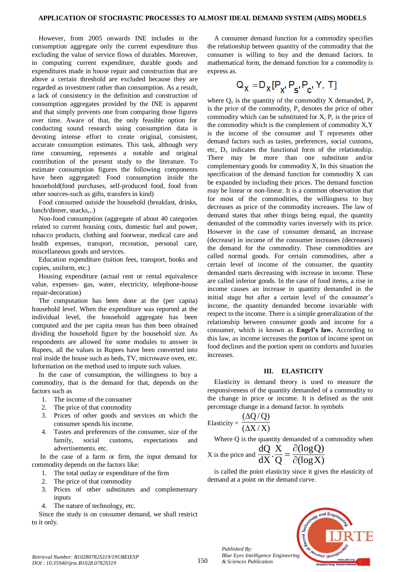However, from 2005 onwards INE includes in the consumption aggregate only the current expenditure thus excluding the value of service flows of durables. Moreover, in computing current expenditure, durable goods and expenditures made in house repair and construction that are above a certain threshold are excluded because they are regarded as investment rather than consumption. As a result, a lack of consistency in the definition and construction of consumption aggregates provided by the INE is apparent and that simply prevents one from comparing those figures over time. Aware of that, the only feasible option for conducting sound research using consumption data is devoting intense effort to create original, consistent, accurate consumption estimates. This task, although very time consuming, represents a notable and original contribution of the present study to the literature. To estimate consumption figures the following components have been aggregated: Food consumption inside the household(food purchases, self-produced food, food from other sources-such as gifts, transfers in kind)

Food consumed outside the household (breakfast, drinks, lunch/dinner, snacks,..)

Non-food consumption (aggregate of about 40 categories related to current housing costs, domestic fuel and power, tobacco products, clothing and footwear, medical care and health expenses, transport, recreation, personal care, miscellaneous goods and services.

Education expenditure (tuition fees, transport, books and copies, uniform, etc.)

Housing expenditure (actual rent or rental equivalence value, expenses- gas, water, electricity, telephone-house repair-decoration)

The computation has been done at the (per capita) household level. When the expenditure was reported at the individual level, the household aggregate has been computed and the per capita mean has then been obtained dividing the household figure by the household size. As respondents are allowed for some modules to answer in Rupees, all the values in Rupees have been converted into real inside the house such as beds, TV, microwave oven, etc. Information on the method used to impute such values.

In the case of consumption, the willingness to buy a commodity, that is the demand for that, depends on the factors such as

- 1. The income of the consumer
- 2. The price of that commodity
- 3. Prices of other goods and services on which the consumer spends his income.
- 4. Tastes and preferences of the consumer, size of the family, social customs, expectations and advertisements. etc.

In the case of a farm or firm, the input demand for commodity depends on the factors like:

- 1. The total outlay or expenditure of the firm
- 2. The price of that commodity
- 3. Prices of other substitutes and complementary inputs
- 4. The nature of technology, etc.

Since the study is on consumer demand, we shall restrict to it only.

A consumer demand function for a commodity specifies the relationship between quantity of the commodity that the consumer is willing to buy and the demand factors. In mathematical form, the demand function for a commodity is express as.

$$
\mathsf{Q}_{\chi} = \mathsf{D}_{\chi} [\mathsf{P}_{\chi'} \, \mathsf{P}_{\mathsf{S}'} \, \mathsf{P}_{\mathsf{C}'} \, \mathsf{Y}, \, \mathsf{T}]
$$

where  $Q_x$  is the quantity of the commodity X demanded,  $P_x$ is the price of the commodity,  $P_s$  denotes the price of other commodity which can be substituted for  $X$ ,  $P_c$  is the price of the commodity which is the complement of commodity X,Y is the income of the consumer and T represents other demand factors such as tastes, preferences, social customs, etc,  $D_x$  indicates the functional form of the relationship. There may be more than one substitute and/or complementary goods for commodity X, In this situation the specification of the demand function for commodity X can be expanded by including their prices. The demand function may be linear or non-linear. It is a common observation that for most of the commodities, the willingness to buy decreases as price of the commodity increases. The law of demand states that other things being equal, the quantity demanded of the commodity varies inversely with its price. However in the case of consumer demand, an increase (decrease) in income of the consumer increases (decreases) the demand for the commodity. These commodities are called normal goods. For certain commodities, after a certain level of income of the consumer, the quantity demanded starts decreasing with increase in income. These are called inferior goods. In the case of food items, a rise in income causes an increase in quantity demanded in the initial stage but after a certain level of the consumer's income, the quantity demanded become invariable with respect to the income. There is a simple generalization of the relationship between consumer goods and income for a consumer, which is known as **Engel's law.** According to this law, as income increases the portion of income spent on food declines and the portion spent on comforts and luxuries increases.

### **III. ELASTICITY**

Elasticity in demand theory is used to measure the responsiveness of the quantity demanded of a commodity to the change in price or income. It is defined as the unit percentage change in a demand factor. In symbols

Elasticity = 
$$
\frac{(\Delta Q/Q)}{(\Delta X/X)}
$$

*Published By:*

*& Sciences Publication* 

Where Q is the quantity demanded of a commodity when

X is the price and 
$$
\frac{dQ}{dX} \cdot \frac{X}{Q} = \frac{\partial(\log Q)}{\partial(\log X)}
$$

is called the point elasticity since it gives the elasticity of demand at a point on the demand curve.

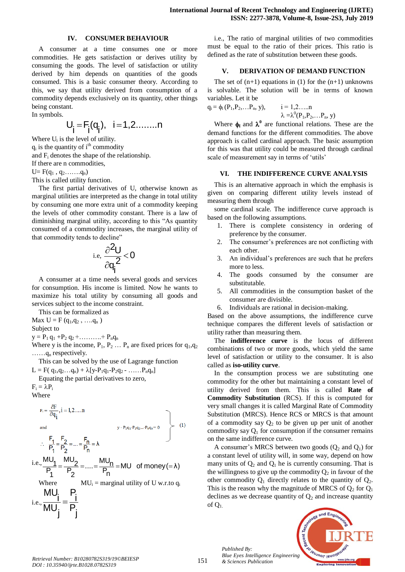#### **IV. CONSUMER BEHAVIOUR**

A consumer at a time consumes one or more commodities. He gets satisfaction or derives utility by consuming the goods. The level of satisfaction or utility derived by him depends on quantities of the goods consumed. This is a basic consumer theory. According to this, we say that utility derived from consumption of a commodity depends exclusively on its quantity, other things being constant.

In symbols.

$$
U_i = F_i(q_i), i = 1, 2, \ldots, n
$$

Where U<sub>i</sub> is the level of utility.  $q_i$  is the quantity of i<sup>th</sup> commodity and F<sup>i</sup> denotes the shape of the relationship. If there are n commodities,

 $U = F(q_1, q_2, \ldots, q_n)$ 

This is called utility function.

The first partial derivatives of U, otherwise known as marginal utilities are interpreted as the change in total utility by consuming one more extra unit of a commodity keeping the levels of other commodity constant. There is a law of diminishing marginal utility, according to this "As quantity consumed of a commodity increases, the marginal utility of that commodity tends to decline"

$$
\mathrm{i.e.}\ \frac{\partial^2 U}{\partial q_i^2} < 0
$$

A consumer at a time needs several goods and services for consumption. His income is limited. Now he wants to maximize his total utility by consuming all goods and services subject to the income constraint.

This can be formalized as Max  $U = F(q_1, q_2, \ldots, q_n)$ 

Subject to

 $y = P_1 q_1 + P_2 q_2 + \ldots + P_n q_n$ 

Where y is the income,  $P_1$ ,  $P_2$  ...  $P_n$  are fixed prices for  $q_1, q_2$  $..., q_n$  respectively.

This can be solved by the use of Lagrange function

 $L = F(q_1, q_2...q_n) + \lambda [y-P_1q_1-P_2q_2 - \ldots P_nq_n]$ Equating the partial derivatives to zero,

 $F_i = \lambda P_i$ 

Where

$$
F_i = \frac{\partial F}{\partial q_i}, i = 1, 2, \dots n
$$
\nand\n
$$
\therefore \frac{F_1}{P_1} = \frac{F_2}{P_2} = \dots = \frac{F_n}{P_n} = \lambda
$$
\n
$$
i.e., \frac{MU_1}{P_1} = \frac{MU_2}{P_2} = \dots = \frac{MU_n}{P_n} = MU \text{ of money } (= \lambda)
$$
\nWhere\n
$$
MU_i = \text{marginal utility of } U \text{ w.r.to } q_i
$$
\ni.e.,\n
$$
\frac{MU_i}{IU_i} = \frac{P_i}{P_i}
$$
\n
$$
i.e., \frac{MU_i}{MU_i} = \frac{P_i}{P_i}
$$

i.e., The ratio of marginal utilities of two commodities must be equal to the ratio of their prices. This ratio is defined as the rate of substitution between these goods.

# **V. DERIVATION OF DEMAND FUNCTION**

The set of  $(n+1)$  equations in (1) for the  $(n+1)$  unknowns is solvable. The solution will be in terms of known variables. Let it be

$$
q_i = \phi_i(P_1, P_2, \dots P_n, y),
$$
   
  $i = 1, 2, \dots, n$   
  $\lambda = \lambda^0(P_1, P_2, \dots P_n, y)$ 

Where  $\phi_I$  and  $\lambda^0$  are functional relations. These are the demand functions for the different commodities. The above approach is called cardinal approach. The basic assumption for this was that utility could be measured through cardinal scale of measurement say in terms of 'utils'

## **VI. THE INDIFFERENCE CURVE ANALYSIS**

This is an alternative approach in which the emphasis is given on comparing different utility levels instead of measuring them through

some cardinal scale. The indifference curve approach is based on the following assumptions.

- 1. There is complete consistency in ordering of preference by the consumer.
- 2. The consumer's preferences are not conflicting with each other.
- 3. An individual's preferences are such that he prefers more to less.
- 4. The goods consumed by the consumer are substitutable.
- 5. All commodities in the consumption basket of the consumer are divisible.
- 6. Individuals are rational in decision-making.

Based on the above assumptions, the indifference curve technique compares the different levels of satisfaction or utility rather than measuring them.

The **indifference curve** is the locus of different combinations of two or more goods, which yield the same level of satisfaction or utility to the consumer. It is also called as **iso-utility curve**.

In the consumption process we are substituting one commodity for the other but maintaining a constant level of utility derived from them. This is called **Rate of Commodity Substitution** (RCS). If this is computed for very small changes it is called Marginal Rate of Commodity Substitution (MRCS). Hence RCS or MRCS is that amount of a commodity say  $Q_2$  to be given up per unit of another commodity say  $Q_1$  for consumption if the consumer remains on the same indifference curve.

A consumer's MRCS between two goods  $(Q_2 \text{ and } Q_1)$  for a constant level of utility will, in some way, depend on how many units of  $Q_2$  and  $Q_1$  he is currently consuming. That is the willingness to give up the commodity  $Q_2$  in favour of the other commodity  $Q_1$  directly relates to the quantity of  $Q_2$ . This is the reason why the magnitude of MRCS of  $Q_2$  for  $Q_1$ declines as we decrease quantity of  $Q_2$  and increase quantity of  $Q_1$ .



*& Sciences Publication Retrieval Number: B10280782S319/19©BEIESP DOI : 10.35940/ijrte.B1028.0782S319*

*Published By:*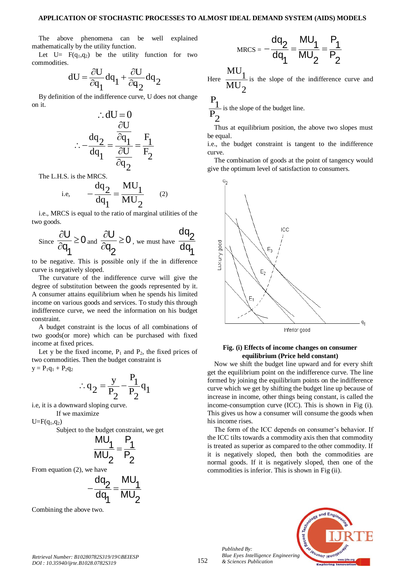The above phenomena can be well explained mathematically by the utility function.

Let  $U= F(q_1,q_2)$  be the utility function for two commodities.

$$
dU = \frac{\partial U}{\partial q_1} dq_1 + \frac{\partial U}{\partial q_2} dq_2
$$

By definition of the indifference curve, U does not change on it.

$$
\therefore dU = 0
$$
  

$$
\therefore -\frac{dq_2}{dq_1} = \frac{\frac{\partial U}{\partial q_1}}{\frac{\partial U}{\partial q_2}} = \frac{F_1}{F_2}
$$

The L.H.S. is the MRCS.

i.e, 
$$
-\frac{dq_2}{dq_1} = \frac{MU_1}{MU_2}
$$
 (2)

i.e., MRCS is equal to the ratio of marginal utilities of the two goods.

$$
\text{Since } \frac{\partial U}{\partial q_1} \geq 0 \text{ and } \frac{\partial U}{\partial q_2} \geq 0 \text{, we must have } \frac{dq_2}{dq_1}
$$

to be negative. This is possible only if the in difference curve is negatively sloped.

The curvature of the indifference curve will give the degree of substitution between the goods represented by it. A consumer attains equilibrium when he spends his limited income on various goods and services. To study this through indifference curve, we need the information on his budget constraint.

A budget constraint is the locus of all combinations of two goods(or more) which can be purchased with fixed income at fixed prices.

Let y be the fixed income,  $P_1$  and  $P_2$ , the fixed prices of two commodities. Then the budget constraint is

 $y = P_1q_1 + P_2q_2$ 

$$
\therefore q_2 = \frac{y}{P_2} - \frac{P_1}{P_2} q_1
$$

i.e, it is a downward sloping curve.

If we maximize

 $U = F(q_1, q_2)$ 

Subject to the budget constraint, we get

$$
\frac{MU_1}{MU_2} = \frac{P_1}{P_2}
$$

From equation (2), we have

$$
-\frac{dq_2}{dq_1} = \frac{MU_1}{MU_2}
$$

Combining the above two.

$$
MRCS = -\frac{dq_2}{dq_1} = \frac{MU_1}{MU_2} = \frac{P_1}{P_2}
$$

Here  $MU<sub>2</sub>$  $\frac{MU_1}{1}$ is the slope of the indifference curve and

 $\overline{P_2}$  $P_1$ is the slope of the budget line.

Thus at equilibrium position, the above two slopes must be equal.

i.e., the budget constraint is tangent to the indifference curve.

The combination of goods at the point of tangency would give the optimum level of satisfaction to consumers.



## **Fig. (i) Effects of income changes on consumer equilibrium (Price held constant)**

Now we shift the budget line upward and for every shift get the equilibrium point on the indifference curve. The line formed by joining the equilibrium points on the indifference curve which we get by shifting the budget line up because of increase in income, other things being constant, is called the income-consumption curve (ICC). This is shown in Fig (i). This gives us how a consumer will consume the goods when his income rises.

The form of the ICC depends on consumer's behavior. If the ICC tilts towards a commodity axis then that commodity is treated as superior as compared to the other commodity. If it is negatively sloped, then both the commodities are normal goods. If it is negatively sloped, then one of the commodities is inferior. This is shown in Fig (ii).



*Published By: Blue Eyes Intelligence Engineering & Sciences Publication*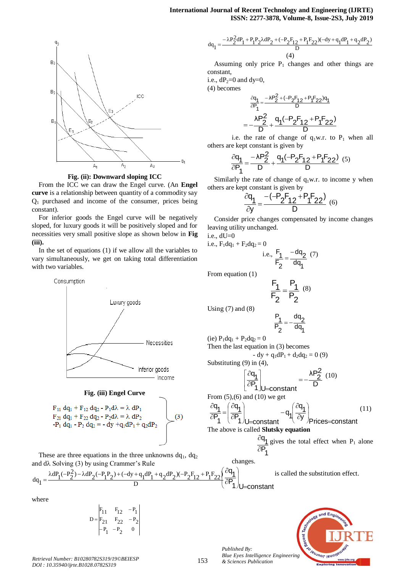

**Fig. (ii): Downward sloping ICC**

From the ICC we can draw the Engel curve. (An **Engel curve** is a relationship between quantity of a commodity say  $Q_1$  purchased and income of the consumer, prices being constant).

For inferior goods the Engel curve will be negatively sloped, for luxury goods it will be positively sloped and for necessities very small positive slope as shown below in **Fig (iii).**

In the set of equations (1) if we allow all the variables to vary simultaneously, we get on taking total differentiation with two variables.



#### **Fig. (iii) Engel Curve**

$$
F_{11} dq_1 + F_{12} dq_2 - P_1 d\lambda = \lambda dP_1
$$
  
\n
$$
F_{21} dq_1 + F_{22} dq_2 - P_2 d\lambda = \lambda dP_2
$$
  
\n
$$
-P_1 dq_1 - P_2 dq_2 = -dy + q_1 dP_1 + q_2 dP_2
$$
\n(3)

These are three equations in the three unknowns  $dq_1$ ,  $dq_2$ and  $d\lambda$  Solving (3) by using Crammer's Rule

$$
dq_1 = \frac{\lambda dP_1(-P_2^2) - \lambda dP_2(-P_1P_2) + (-dy + q_1dP_1 + q_2dP_2)(-P_2F_{12} + P_1F_{22})}{D}
$$
 is called the substituting

where

$$
D = \begin{vmatrix} F_{11} & F_{12} & -P_1 \\ F_{21} & F_{22} & -P_2 \\ -P_1 & -P_2 & 0 \end{vmatrix}
$$

153 *Published By:*

$$
\mathrm{d}q_1 = \frac{-\lambda P_2^2 \mathrm{d}P_1 + P_1 P_2 \lambda \mathrm{d}P_2 + (-P_2 F_{12} + P_1 F_{22})(-\mathrm{d}y + q_1 \mathrm{d}P_1 + q_2 \mathrm{d}P_2)}{D} \tag{4}
$$

Assuming only price  $P_1$  changes and other things are constant,

i.e.,  $dP_2=0$  and  $dy=0$ ,

(4) becomes

$$
\frac{\partial q_1}{\partial P_1} = \frac{-\lambda P_2^2 + (-P_2 F_{12} + P_1 F_{22})q_1}{D}
$$
\n
$$
= -\frac{\lambda P_2^2}{D} + \frac{q_1(-P_2 F_{12} + P_1 F_{22})}{D}
$$

i.e. the rate of change of  $q_1w.r.$  to  $P_1$  when all others are kept constant is given by

$$
\frac{\partial q_1}{\partial P_1} = \frac{-\lambda P_2^2}{D} + \frac{q_1(-P_2F_{12} + P_1F_{22})}{D} \tag{5}
$$

Similarly the rate of change of  $q_1w.r.$  to income y when others are kept constant is given by

$$
\frac{\partial q_1}{\partial y} = \frac{-(-P_2F_{12} + P_1F_{22})}{D} \tag{6}
$$

Consider price changes compensated by income changes leaving utility unchanged.

i.e., dU=0 i.e.,  $F_1dq_1 + F_2dq_2 = 0$ 

= 0  
i.e., 
$$
\frac{F_1}{F_2} = \frac{-dq_2}{dq_1}
$$
 (7)

From equation (1)

$$
\frac{F_1}{F_2} = \frac{P_1}{P_2} \,\,\, (8)
$$

Using  $(7)$  and  $(8)$ 

$$
\frac{P_1}{P_2}=-\frac{dq_2}{dq_1}
$$

(ie)  $P_1dq_1 + P_2dq_2 = 0$ Then the last equation in (3) becomes - dy +  $q_1dP_1 + d_2dq_2 = 0$  (9) Substituting (9) in (4),

$$
\frac{\partial q_1}{\partial P_1}\Big|_{U=\text{constant}} = -\frac{\lambda P_2^2}{D} (10)
$$

L L From  $(5)$ , $(6)$  and  $(10)$  we get

ļ.

L

$$
\frac{\partial q_1}{\partial P_1} = \left(\frac{\partial q_1}{\partial P_1}\right)_{U=\text{constant}} - q_1 \left(\frac{\partial q_1}{\partial y}\right)_{\text{Prices}=\text{constant}} \tag{11}
$$

The above is called **Slutsky equation**

1  $\mathsf{P}_{\mathsf{A}}$  $\frac{q_1}{q_1}$  $\partial$  $\frac{\partial q_1}{\partial q_2}$  gives the total effect when P<sub>1</sub> alone

changes.

tution effect.

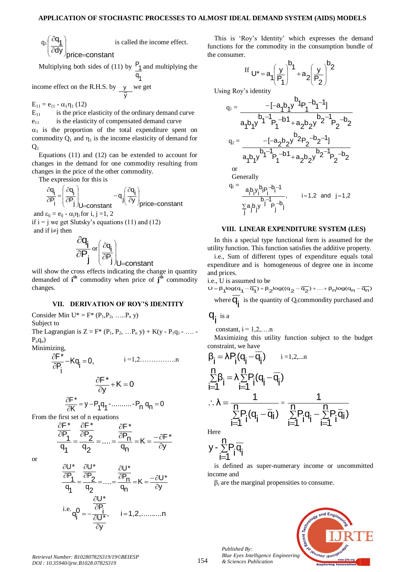$q_1$ dy <sub>/price=constant</sub>  $\frac{q_1}{q_1}$   $\partial$  $\overline{\phantom{a}}$  $\mathbf{I}$ Л  $\lambda$ L L L ſ is called the income effect.

Multiplying both sides of (11) by  $q_{4}$  $P_1$  and multiplying the

1 income effect on the R.H.S. by y y we get

 $E_{11} = e_{11} - \alpha_1 \eta_1 (12)$ 

 $E_{11}$  is the price elasticity of the ordinary demand curve  $e_{11}$  is the elasticity of compensated demand curve  $\alpha_1$  is the proportion of the total expenditure spent on commodity  $Q_1$  and  $\eta_1$  is the income elasticity of demand for  $Q<sub>1</sub>$ 

Equations (11) and (12) can be extended to account for changes in the demand for one commodity resulting from changes in the price of the other commodity.

The expression for this is

$$
\frac{\partial q_i}{\partial P_i} = \left(\frac{\partial q_i}{\partial P_j}\right)_{U=\text{constant}} - q_j \left(\frac{\partial q_i}{\partial y}\right)_{price=\text{constant}}
$$

and  $\varepsilon_{ii} = e_{ii} - \alpha_i \eta_i$  for i, j =1, 2

if  $i = j$  we get Slutsky's equations (11) and (12) and if  $i\neq i$  then

$$
\frac{\partial q_i}{\partial P_j} \mathrm{or} \left( \frac{\partial q_i}{\partial P_j} \right)_{U=\text{constant}}
$$

will show the cross effects indicating the change in quantity demanded of **i th** commodity when price of **j th** commodity changes.

## **VII. DERIVATION OF ROY'S IDENTITY**

Consider Min  $U^* = F^* (P_1, P_2, \ldots, P_n y)$ Subject to

The Lagrangian is  $Z = F^* (P_1, P_2, ... P_n, y) + K(y - P_1, - ... P_nq_n$ 

Minimizing,

$$
\frac{\partial F^*}{\partial P_i} - Kq_i = 0, \qquad i = 1, 2, \dots, m
$$

$$
\frac{\partial F^*}{\partial y} + K = 0
$$

$$
\frac{\partial F^*}{\partial K} = y - P_1 q_1 - \dots - P_n q_n = 0
$$

From the first set of n equations

$$
\frac{\frac{\partial F^*}{\partial P_1}}{q_1} = \frac{\frac{\partial F^*}{\partial P_2}}{q_2} = \dots = \frac{\frac{\partial F^*}{\partial P_n}}{q_n} = K = \frac{-\partial F^*}{\partial y}
$$

or



This is 'Roy's Identity' which expresses the demand functions for the commodity in the consumption bundle of the consumer.

$$
\text{If } U^* = a_1 \left(\frac{y}{P_1}\right)^{b_1} + a_2 \left(\frac{y}{P_2}\right)^{b_2}
$$

Using Roy's identity

$$
q_{1} = \frac{-[-a_{1}b_{1}y^{b_{1}}p_{1}^{-b_{1}-1}]}{a_{1}b_{1}y^{b_{1}}p_{1}^{-b_{1}}+a_{2}b_{2}y^{b_{2}-1}p_{2}^{-b_{2}}}
$$
\n
$$
q_{2} = \frac{-[-a_{2}b_{2}y^{b_{2}}p_{2}^{-b_{2}-1}]}{a_{1}b_{1}y^{b_{1}}p_{1}^{-b_{1}}+a_{2}b_{2}y^{b_{2}-1}p_{2}^{-b_{2}}
$$
\nor\n
$$
Generally
$$
\n
$$
q_{i} = \frac{a_{i}b_{i}y_{i}^{b_{i}}p_{i}^{-b_{1}-1}}{\frac{b_{i}b_{i}y_{i}^{-b_{i}}p_{1}^{-b_{1}}}{\frac{b_{i}y_{i}^{-b_{i}}p_{i}^{-b_{1}}}{\frac{b_{i}y_{i}^{-b_{i}}p_{i}^{-b_{1}}}{\frac{b_{i}y_{i}^{-b_{i}}p_{i}^{-b_{1}}}{\frac{b_{i}y_{i}^{-b_{i}}p_{i}^{-b_{1}}}{\frac{b_{i}y_{i}^{-b_{i}}p_{i}^{-b_{1}}}{\frac{b_{i}y_{i}^{-b_{i}}p_{i}^{-b_{1}}}{\frac{b_{i}y_{i}^{-b_{i}}p_{i}^{-b_{1}}}{\frac{b_{i}y_{i}^{-b_{i}}p_{i}^{-b_{1}}}{\frac{b_{i}y_{i}^{-b_{i}}p_{i}^{-b_{i}}}{\frac{b_{i}y_{i}^{-b_{i}}p_{i}^{-b_{i}}}{\frac{b_{i}y_{i}^{-b_{i}}p_{i}^{-b_{i}}}{\frac{b_{i}y_{i}^{-b_{i}}p_{i}^{-b_{i}}}{\frac{b_{i}y_{i}^{-b_{i}}p_{i}^{-b_{i}}}{\frac{b_{i}y_{i}^{-b_{i}}p_{i}^{-b_{i}}}{\frac{b_{i}y_{i}^{-b_{i}}p_{i}^{-b_{i}}}{\frac{b_{i}y_{i}^{-b_{i}}p_{i}^{-b_{i}}}{\frac{b_{i}y_{i}^{-b_{i}}p_{i}^{-b_{i}}}{\frac{b_{i}y_{i}^{-b_{i}}p_{i}^{-b_{i}}}{\frac{b_{i}y_{i}^{-b_{i}}p_{i}^{-b
$$

## **VIII. LINEAR EXPENDITURE SYSTEM (LES)**

In this a special type functional form is assumed for the utility function. This function satisfies the additive property.

i.e., Sum of different types of expenditure equals total expenditure and is homogeneous of degree one in income and prices.

i.e., U is assumed to be

 $U = \beta_1 log(q_1 - \overline{q_1}) + \beta_2 log((q_2 - \overline{q_2}) + ... + \beta_n log(q_n - \overline{q_n})$ where  $\overline{q_i}$  is the quantity of Q<sub>i</sub>commondity purchased and

$$
q_{i}^{\phantom{\dag}}\,\mathrm{is}\,\mathrm{a}
$$

constant,  $i = 1, 2, \ldots$ n

Maximizing this utility function subject to the budget constraint, we have

$$
\begin{aligned} &\beta_i = \lambda P_i(q_i - \overline{q}_i) \qquad \text{if } i = 1, 2, \dots n \\ &\sum_{i=1}^n \beta_i = \lambda \sum_{i=1}^n P_i(q_i - \overline{q}_i) \\ &\therefore \lambda = \frac{1}{\sum\limits_{i=1}^n P_i(q_i - \overline{q}_i)} = \frac{1}{\sum\limits_{i=1}^n P_i q_i - \sum\limits_{i=1}^n P_i \overline{q}_i)} \\ &\text{Here} \end{aligned}
$$

$$
y - \sum_{i=1}^n P_i \overline{q_i}
$$

is defined as super-numerary income or uncommitted income and

 $\beta_i$  are the marginal propensities to consume.





*Retrieval Number: B10280782S319/19©BEIESP DOI : 10.35940/ijrte.B1028.0782S319*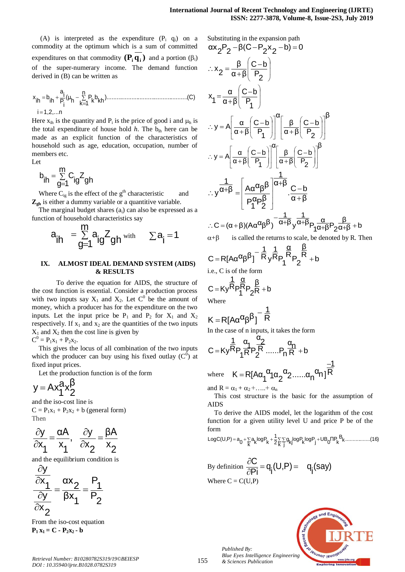(A) is interpreted as the expenditure  $(P_i \ q_i)$  on a commodity at the optimum which is a sum of committed expenditures on that commodity  $(P_i q_i)$  and a portion  $(\beta_i)$ of the super-numerary income. The demand function derived in (B) can be written as

i 1,2,...n ).................................................(C) n k 1 kh <sup>b</sup> k P h (μ i P i a ih <sup>b</sup> ih <sup>x</sup> 

Here  $x_{ih}$  is the quantity and  $P_i$  is the price of good i and  $\mu_h$  is the total expenditure of house hold  $h$ . The  $b_{ih}$  here can be made as an explicit function of the characteristics of household such as age, education, occupation, number of members etc. Let

$$
b_{ih} = \sum_{g=1}^{m} C_{ig} Z_{gh}
$$

Where  $C_{ig}$  is the effect of the  $g<sup>th</sup>$  characteristic and **Zgh** is either a dummy variable or a quantitive variable.

The marginal budget shares  $(a_i)$  can also be expressed as a function of household characteristics say

$$
a_{ih} = \sum_{g=1}^{m} a_{ig} Z_{gh} \text{ with } \sum a_i = 1
$$

# **IX. ALMOST IDEAL DEMAND SYSTEM (AIDS) & RESULTS**

To derive the equation for AIDS, the structure of the cost function is essential. Consider a production process with two inputs say  $X_1$  and  $X_2$ . Let  $C^0$  be the amount of money, which a producer has for the expenditure on the two inputs. Let the input price be  $P_1$  and  $P_2$  for  $X_1$  and  $X_2$ respectively. If  $x_1$  and  $x_2$  are the quantities of the two inputs  $X_1$  and  $X_2$  then the cost line is given by  $\mathbf{0}$ 

$$
C^0 = P_1x_1 + P_2x_2.
$$

This gives the locus of all combination of the two inputs which the producer can buy using his fixed outlay  $(C^{\overline{0}})$  at fixed input prices.

Let the production function is of the form

$$
y = Ax_1^a x_2^{\beta}
$$

and the iso-cost line is  $C = P_1x_1 + P_2x_2 + b$  (general form) Then

$$
\frac{\partial y}{\partial x_1} = \frac{\alpha A}{x_1}, \quad \frac{\partial y}{\partial x_2} = \frac{\beta A}{x_2}
$$

and the equilibrium condition is

$$
\frac{\frac{\partial y}{\partial x_1}}{\frac{\partial y}{\partial x_2}} = \frac{\alpha x_2}{\beta x_1} = \frac{P_1}{P_2}
$$

From the iso-cost equation  $P_1 x_1 = C - P_2 x_2 - b$ 

$$
\alpha x_2 P_2 - \beta (C - P_2 x_2 - b) = 0
$$
  
\n
$$
\therefore x_2 = \frac{\beta}{\alpha + \beta} \left( \frac{C - b}{P_2} \right)
$$
  
\n
$$
x_1 = \frac{\alpha}{\alpha + \beta} \left( \frac{C - b}{P_1} \right)
$$
  
\n
$$
\therefore y = A \left[ \frac{\alpha}{\alpha + \beta} \left( \frac{C - b}{P_1} \right) \right]^\alpha \left[ \frac{\beta}{\alpha + \beta} \left( \frac{C - b}{P_2} \right) \right]^\beta
$$
  
\n
$$
\therefore y = A \left[ \frac{\alpha}{\alpha + \beta} \left( \frac{C - b}{P_1} \right) \right]^\alpha \left[ \frac{\beta}{\alpha + \beta} \left( \frac{C - b}{P_2} \right) \right]^\beta
$$
  
\n
$$
\therefore y \frac{1}{\alpha + \beta} = \left[ \frac{A \alpha^{\alpha} \beta^{\beta}}{P_1^{\alpha} P_2^{\beta}} \right]^\alpha \left. \frac{1}{\alpha + \beta} \frac{C - b}{C - b} \right\}
$$
  
\n
$$
\therefore C = (\alpha + \beta)(A \alpha^{\alpha} \beta^{\beta})^{-\alpha + \beta} y^{\alpha + \beta} P_1 \frac{\alpha}{\alpha + \beta} P_2 \frac{\beta}{\alpha + \beta} + b
$$
  
\n
$$
\alpha + \beta \qquad \text{is called the returns to scale, be denoted by R. Then}
$$

$$
C = R[A\alpha^{\alpha}\beta^{\beta}]^{-\frac{1}{R}}y^{\frac{1}{R}}P_1^{\frac{\alpha}{R}}P_2^{\frac{\beta}{R}} + b
$$

i.e., C is of the form

$$
C = Ky \frac{1}{R} P_1 \frac{\alpha}{2R} + b
$$
  
Where

$$
K=R[A\alpha^\alpha\beta^\beta]^{-\tfrac{1}{R}}
$$

In the case of n inputs, it takes the form

$$
C = Ky \frac{1}{R} P_1 \frac{\alpha_1}{R} P_2 \frac{\alpha_2}{R} \dots P_n \frac{\alpha_n}{R} + b
$$

where R  $\overline{1}$ <sup>α</sup>2......α<sub>n</sub><sup>α</sup>n]  $a_{1}a_{2}$  $K = R[Aα_1$ <sup>'</sup>  $\equiv$  $=$ 

and  $R = \alpha_1 + \alpha_2 + \ldots + \alpha_n$ 

This cost structure is the basic for the assumption of AIDS

To derive the AIDS model, let the logarithm of the cost function for a given utility level U and price P be of the form

$$
LogC(U,P) = a_0 + \sum_{k} a_k logP_k + \frac{1}{2} \sum_{k} \sum_{j} g_{kj} logP_k logP_j + UB_0 \Pi P_k B_k..............(16)
$$

By definition 
$$
\frac{\partial C}{\partial P_i} = q_i(U, P) = q_i(say)
$$
  
Where C = C(U,P)



*Published By:*